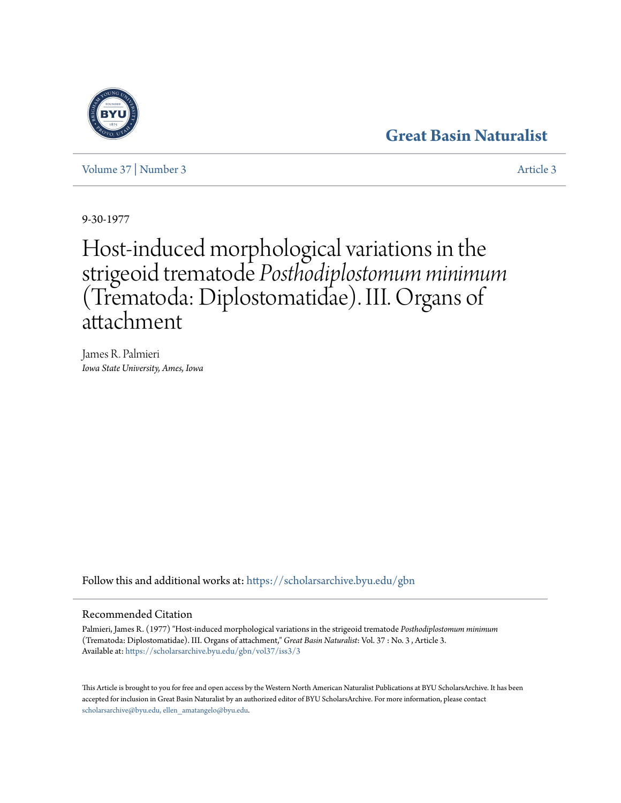# **[Great Basin Naturalist](https://scholarsarchive.byu.edu/gbn?utm_source=scholarsarchive.byu.edu%2Fgbn%2Fvol37%2Fiss3%2F3&utm_medium=PDF&utm_campaign=PDFCoverPages)**

[Volume 37](https://scholarsarchive.byu.edu/gbn/vol37?utm_source=scholarsarchive.byu.edu%2Fgbn%2Fvol37%2Fiss3%2F3&utm_medium=PDF&utm_campaign=PDFCoverPages) | [Number 3](https://scholarsarchive.byu.edu/gbn/vol37/iss3?utm_source=scholarsarchive.byu.edu%2Fgbn%2Fvol37%2Fiss3%2F3&utm_medium=PDF&utm_campaign=PDFCoverPages) [Article 3](https://scholarsarchive.byu.edu/gbn/vol37/iss3/3?utm_source=scholarsarchive.byu.edu%2Fgbn%2Fvol37%2Fiss3%2F3&utm_medium=PDF&utm_campaign=PDFCoverPages)

9-30-1977

# Host-induced morphological variations in the strigeoid trematode *Posthodiplostomum minimum* (Trematoda: Diplostomatidae). III. Organs of attachment

James R. Palmieri *Iowa State University, Ames, Iowa*

Follow this and additional works at: [https://scholarsarchive.byu.edu/gbn](https://scholarsarchive.byu.edu/gbn?utm_source=scholarsarchive.byu.edu%2Fgbn%2Fvol37%2Fiss3%2F3&utm_medium=PDF&utm_campaign=PDFCoverPages)

### Recommended Citation

Palmieri, James R. (1977) "Host-induced morphological variations in the strigeoid trematode *Posthodiplostomum minimum* (Trematoda: Diplostomatidae). III. Organs of attachment," *Great Basin Naturalist*: Vol. 37 : No. 3 , Article 3. Available at: [https://scholarsarchive.byu.edu/gbn/vol37/iss3/3](https://scholarsarchive.byu.edu/gbn/vol37/iss3/3?utm_source=scholarsarchive.byu.edu%2Fgbn%2Fvol37%2Fiss3%2F3&utm_medium=PDF&utm_campaign=PDFCoverPages)

This Article is brought to you for free and open access by the Western North American Naturalist Publications at BYU ScholarsArchive. It has been accepted for inclusion in Great Basin Naturalist by an authorized editor of BYU ScholarsArchive. For more information, please contact [scholarsarchive@byu.edu, ellen\\_amatangelo@byu.edu.](mailto:scholarsarchive@byu.edu,%20ellen_amatangelo@byu.edu)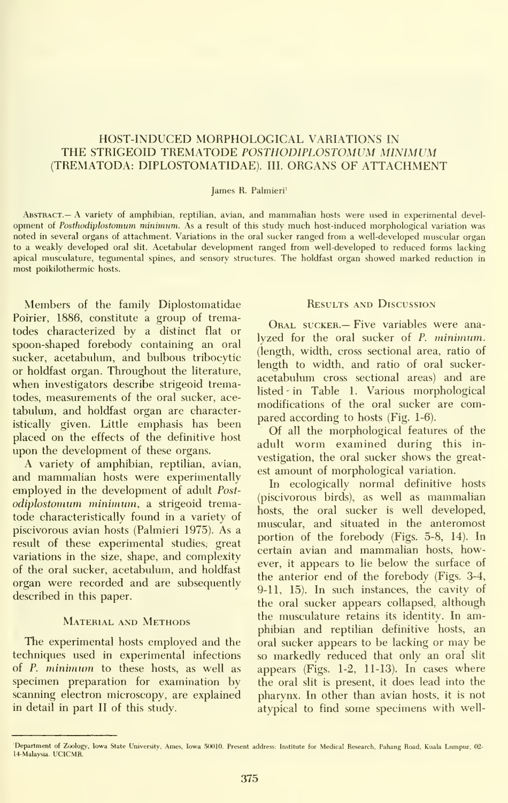## HOST-INDUCED MORPHOLOGICAL VARIATIONS IN THE STRIGEOID TREMATODE POSTHODIPLOSTOMUM MINIMUM (TREMATODA: DIPLOSTOMATIDAE). III. ORGANS OF ATTACHMENT

#### James R. Palmieri'

Abstract.— A variety of amphibian, reptilian, avian, and mammalian hosts were used in experimental devel opment of Posthodiplostomum minimum. As a result of this study much host-induced morphological variation was noted in several organs of attachment. Variations in the oral sucker ranged from a well-developed muscular organ to a weakly developed oral slit. Acetabular development ranged from well-developed to reduced forms lacking apical musculature, tegumental spines, and sensory structures. The holdfast organ showed marked reduction in most poikilothermic hosts.

Members of the family Diplostomatidae Poirier, 1886, constitute a group of trematodes characterized by a distinct flat or spoon-shaped forebody containing an oral sucker, acetabulum, and bulbous tribocytic or holdfast organ. Throughout the literature, when investigators describe strigeoid trematodes, measurements of the oral sucker, ace tabulum, and holdfast organ are characteristically given. Little emphasis has been placed on the effects of the definitive host upon the development of these organs.

A variety of amphibian, reptilian, avian, and mammalian hosts were experimentally employed in the development of adult Post odiplostomum minimum, a strigeoid trematode characteristically found in a variety of piscivorous avian hosts (Palmieri 1975). As a result of these experimental studies, great variations in the size, shape, and complexity of the oral sucker, acetabulum, and holdfast organ were recorded and are subsequently described in this paper.

#### MATERIAL AND METHODS

The experimental hosts employed and the techniques used in experimental infections of P. minimum to these hosts, as well as specimen preparation for examination by scanning electron microscopy, are explained in detail in part II of this study.

#### Results and Discussion

Oral sucker.— Five variables were ana lyzed for the oral sucker of P. minimum. (length, width, cross sectional area, ratio of length to width, and ratio of oral sucker acetabulum cross sectional areas) and are listed - in Table 1. Various morphological modifications of the oral sucker are compared according to hosts (Fig. 1-6).

Of all the morphological features of the adult worm examined during this in vestigation, the oral sucker shows the greatest amount of morphological variation.

In ecologically normal definitive hosts (piscivorous birds), as well as mammalian hosts, the oral sucker is well developed, muscular, and situated in the anteromost portion of the forebody (Figs. 5-8, 14). In certain avian and mammalian hosts, however, it appears to lie below the surface of the anterior end of the forebody (Figs. 3-4, 9-11, 15). In such instances, the cavity of the oral sucker appears collapsed, although the musculature retains its identity. In amphibian and reptilian definitive hosts, an oral sucker appears to be lacking or may be so markedly reduced that only an oral slit appears (Figs. 1-2, 11-13). In cases where the oral slit is present, it does lead into the pharynx. In other than avian hosts, it is not atypical to find some specimens with well-

Department of Zoology, Iowa State University, Ames, Iowa 50010. Present address: Institute for Medical Research, Pahang Road, Kuala Lumpur, 02-14-Malaysia. UCICMR.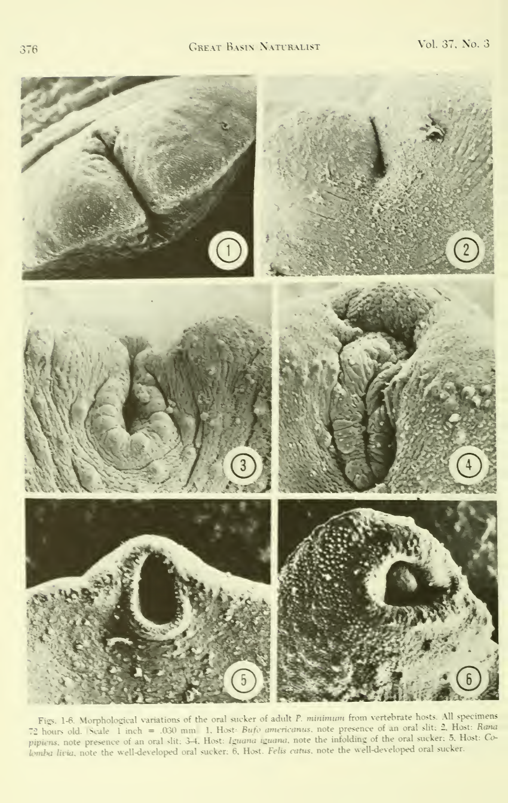

Figs. 1-6. Morphological variations of the oral sucker of adult P. minimum from vertebrate hosts. All specimens 72 hours old. Scale: I inch = .030 mm 1. Host: Bufo americanus, note presence of an oral slit: 2, Host: Rana pipiens, note presence of an oral slit; 3-4, Host: *Iguana iguana*, note the infolding of the oral sucker; 5, Host: Co-<br>lemba livia, note the well-developed oral sucker; 6, Host. *Felis catus*, note the well-developed oral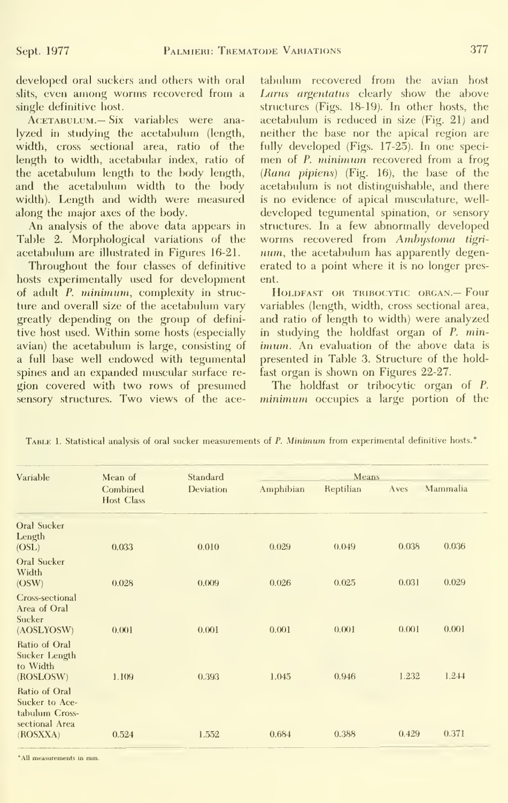developed oral suckers and others with oral slits, even among worms recovered from a single definitive host.

ACETABULUM.— Six variables were analyzed in studying the acetabulum (length, width, cross sectional area, ratio of the length to width, acetabular index, ratio of the acetabulum length to the body length, and the acetabulum width to the body width). Length and width were measured along the major axes of the body.

An analysis of the above data appears in Table 2. Morphological variations of the acetabulum are illustrated in Figures 16-21.

Throughout the four classes of definitive hosts experimentally used for development of adult P. minimum, complexity in struc ture and overall size of the acetabulum vary greatly depending on the group of definitive host used. Within some hosts (especially avian) the acetabulum is large, consisting of a full base well endowed with tegumental spines and an expanded muscular surface re gion covered with two rows of presumed sensory structures. Two views of the ace-

tabulum recovered from the avian host Larus argentatus clearly show the above structures (Figs. 18-19). In other hosts, the acetabulum is reduced in size (Fig. 21) and neither the base nor the apical region are fully developed (Figs. 17-25). In one speci men of P. minimum recovered from a frog (Rana pipiens) (Fig. 16), the base of the acetabulum is not distinguishable, and there is no evidence of apical musculature, well developed tegumental spination, or sensory structures. In a few abnormally developed worms recovered from Amhystoma tigri num, the acetabulum has apparently degenerated to a point where it is no longer present.

HOLDFAST OR TRIBOCYTIC ORGAN.- Four variables (length, width, cross sectional area, and ratio of length to width) were analyzed in studying the holdfast organ of P. min imum. An evaluation of the above data is presented in Table 3. Structure of the holdfast organ is shown on Figures 22-27.

The holdfast or tribocytic organ of P. minimum occupies a large portion of the

| Variable                                                                        | Mean of<br>Combined<br><b>Host Class</b> | Standard  | <b>Means</b> |           |       |          |
|---------------------------------------------------------------------------------|------------------------------------------|-----------|--------------|-----------|-------|----------|
|                                                                                 |                                          | Deviation | Amphibian    | Reptilian | Aves  | Mammalia |
| Oral Sucker<br>Length<br>(OSL)                                                  | 0.033                                    | 0.010     | 0.029        | 0.049     | 0.038 | 0.036    |
| Oral Sucker<br>Width<br>(OSW)                                                   | 0.028                                    | 0.009     | 0.026        | 0.025     | 0.031 | 0.029    |
| Cross-sectional<br>Area of Oral<br>Sucker<br>(AOSLYOSW)                         | 0.001                                    | 0.001     | 0.001        | 0.001     | 0.001 | 0.001    |
| Ratio of Oral<br>Sucker Length<br>to Width<br>(ROSLOSW)                         | 1.109                                    | 0.393     | 1.045        | 0.946     | 1.232 | 1.244    |
| Ratio of Oral<br>Sucker to Ace-<br>tabulum Cross-<br>sectional Area<br>(ROSXXA) | 0.524                                    | 1.552     | 0.684        | 0.388     | 0.429 | 0.371    |

TABLE 1. Statistical analysis of oral sucker measurements of P. Minimum from experimental definitive hosts.<sup>®</sup>

"All measurements in mm.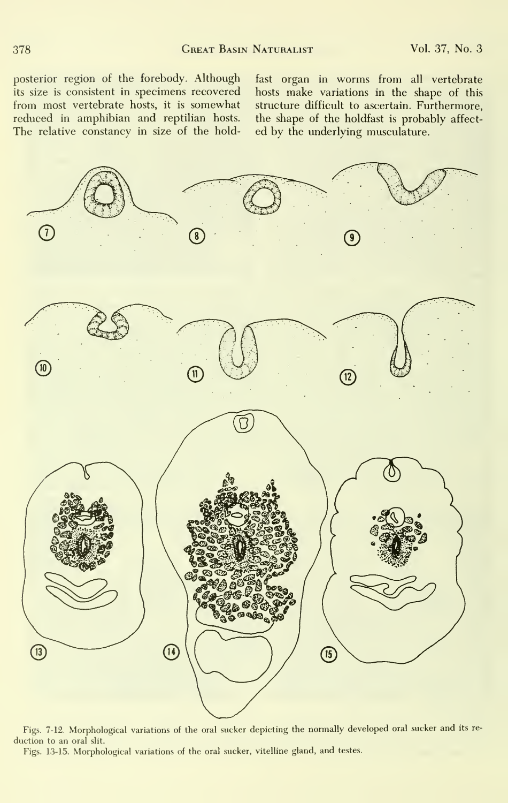posterior region of the forebody. Although its size is consistent in specimens recovered from most vertebrate hosts, it is somewhat reduced in amphibian and reptilian hosts. The relative constancy in size of the hold-

fast organ in worms from all vertebrate hosts make variations in the shape of this structure difficult to ascertain. Furthermore, the shape of the holdfast is probably affect ed by the underlying musculature.



Figs. 7-12. Morphological variations of the oral sucker depicting the normally developed oral sucker and its re duction to an oral slit.

Figs. 13-15. Morphological variations of the oral sucker, vitelline gland, and testes.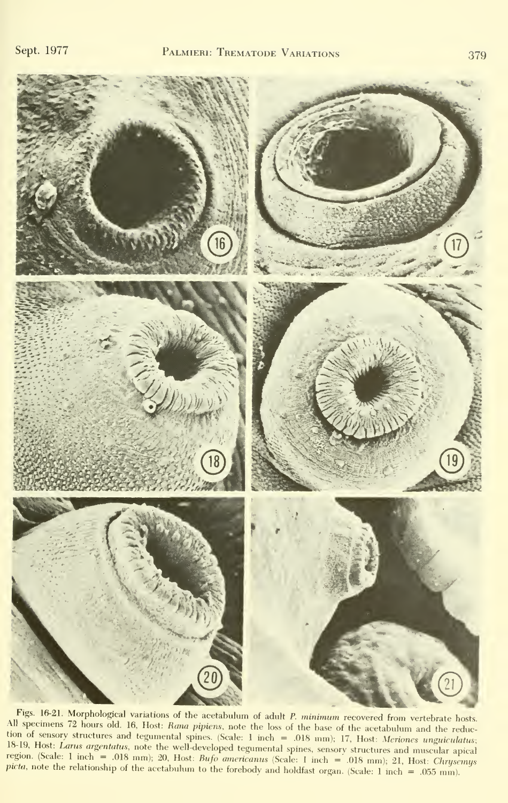

Figs. 16-21. Morphological variations of the acetabulum of adult P. minimum recovered from vertebrate hosts. All specimens 72 hours old. 16, Host: Rana pipiens, note the loss of the base of the acetabulum and the reduc-18-19, Host: *Larus argentatus*, note the well-developed tegumental spines, sensory structures and muscular apical<br>region. (Scale: 1 inch = 0.08 mm); 20, Host: *Bufo americanus* (Scale: 1 inch = 0.08 mm); 21, Host: *Chrys* structures and tegumental spines. (Scale: 1 inch = .018 mm); 17, Host: Meriones unguiculatus; picta, note the relationship of the acetabulum to the forebody and holdfast organ. (Scale:  $1$  inch = .055 mm).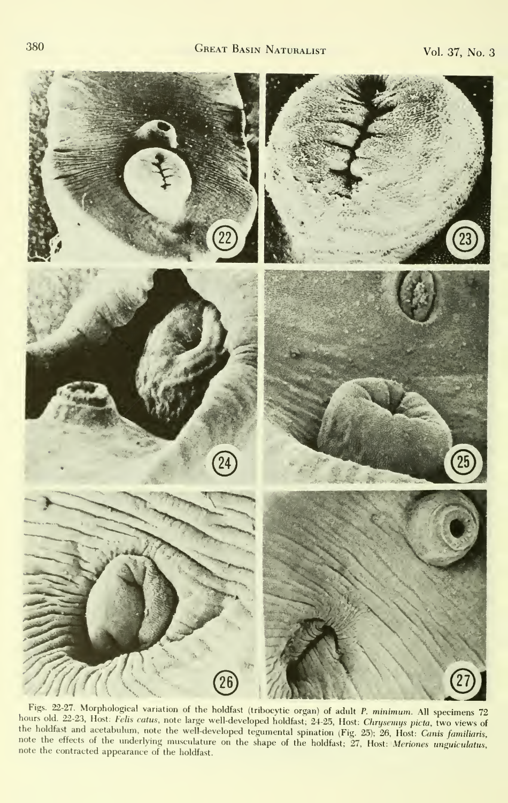

Figs. 22-27. Morphological variation of the holdfast (tribocytic organ) of adult P. minimum. All specimens 72 bours old. 22-23, Host: *Chrysenics* and the holds (throught of gain) or adult *F. minimum*. All specimens (2)<br>the holdfest and cost lelis catus, note large well-developed holdfast; 24-25, Host: *Chrysenius picta*, two vie the holdfast and acetabulum, note the well-developed notatast; 24-25, Host: Chryseniys picta, two views of<br>the holdfast and acetabulum, note the well-developed tegumental spination (Fig. 25); 26, Host: Canis familiaris,<br>n note the contracted appearance of the holdfast.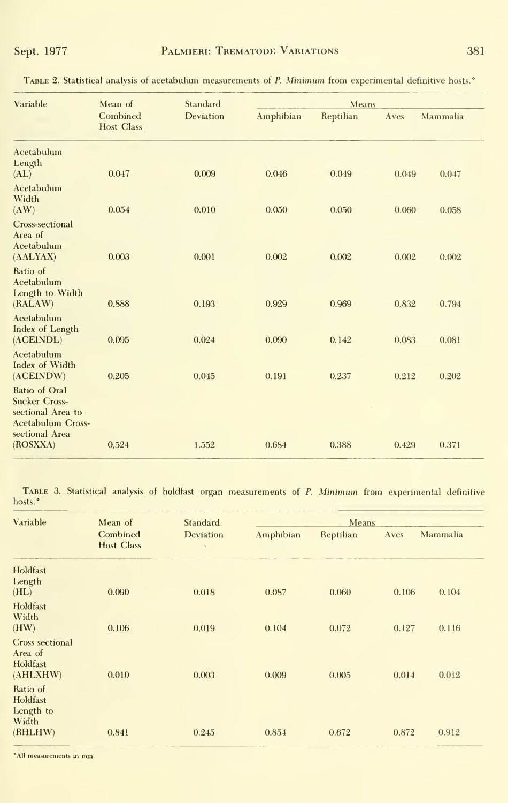| Variable                                                                                                 | Mean of<br>Combined<br><b>Host Class</b> | Standard<br>Deviation | Means     |           |       |          |
|----------------------------------------------------------------------------------------------------------|------------------------------------------|-----------------------|-----------|-----------|-------|----------|
|                                                                                                          |                                          |                       | Amphibian | Reptilian | Aves  | Mammalia |
| Acetabulum<br>Length<br>(AL)                                                                             | 0.047                                    | 0.009                 | 0.046     | 0.049     | 0.049 | 0.047    |
| Acetabulum<br>Width<br>(AW)                                                                              | 0.054                                    | 0.010                 | 0.050     | 0.050     | 0.060 | 0.058    |
| Cross-sectional<br>Area of<br>Acetabulum<br>(AALYAX)                                                     | 0.003                                    | 0.001                 | 0.002     | 0.002     | 0.002 | 0.002    |
| Ratio of<br>Acetabulum<br>Length to Width<br>(RALAW)                                                     | 0.888                                    | 0.193                 | 0.929     | 0.969     | 0.832 | 0.794    |
| Acetabulum<br>Index of Length<br>(ACEINDL)                                                               | 0.095                                    | 0.024                 | 0.090     | 0.142     | 0.083 | 0.081    |
| Acetabulum<br>Index of Width<br>(ACEINDW)                                                                | 0.205                                    | 0.045                 | 0.191     | 0.237     | 0.212 | 0.202    |
| Ratio of Oral<br><b>Sucker Cross-</b><br>sectional Area to<br><b>Acetabulum Cross-</b><br>sectional Area |                                          |                       |           |           |       |          |
| (ROSXXA)                                                                                                 | 0,524                                    | 1.552                 | 0.684     | 0.388     | 0.429 | 0.371    |

TABLE 2. Statistical analysis of acetabulum measurements of P. Minimum from experimental definitive hosts.<sup>\*</sup>

TABLE 3. Statistical analysis of holdfast organ measurements of P. Minimum from experimental definitive hosts.<sup>\*</sup>

| Variable                                           | Mean of<br>Combined<br><b>Host Class</b> | Standard<br>Deviation | Means     |           |       |          |
|----------------------------------------------------|------------------------------------------|-----------------------|-----------|-----------|-------|----------|
|                                                    |                                          |                       | Amphibian | Reptilian | Aves  | Mammalia |
| Holdfast<br>Length<br>(HL)                         | 0.090                                    | 0.018                 | 0.087     | 0.060     | 0.106 | 0.104    |
| Holdfast<br>Width<br>(HW)                          | 0.106                                    | 0.019                 | 0.104     | 0.072     | 0.127 | 0.116    |
| Cross-sectional<br>Area of<br>Holdfast<br>(AHLXHW) | 0.010                                    | 0.003                 | 0.009     | 0.005     | 0.014 | 0.012    |
| Ratio of<br>Holdfast<br>Length to<br>Width         |                                          |                       |           |           |       |          |
| (RHLHW)                                            | 0.841                                    | 0.245                 | 0.854     | 0.672     | 0.872 | 0.912    |

\*All measurements in mm.